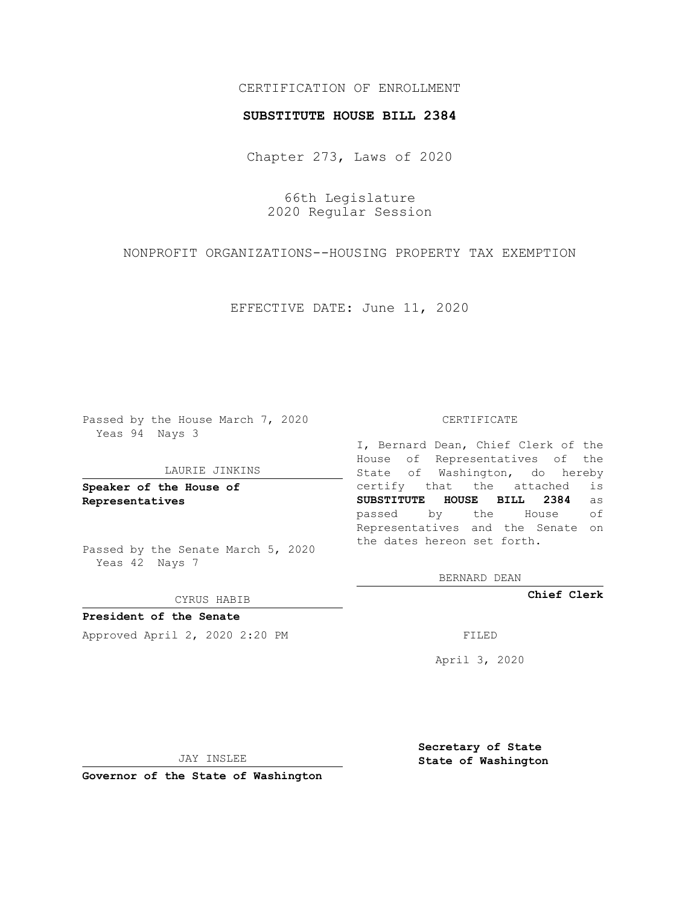## CERTIFICATION OF ENROLLMENT

### **SUBSTITUTE HOUSE BILL 2384**

Chapter 273, Laws of 2020

66th Legislature 2020 Regular Session

NONPROFIT ORGANIZATIONS--HOUSING PROPERTY TAX EXEMPTION

EFFECTIVE DATE: June 11, 2020

Passed by the House March 7, 2020 Yeas 94 Nays 3

#### LAURIE JINKINS

**Speaker of the House of Representatives**

Passed by the Senate March 5, 2020 Yeas 42 Nays 7

CYRUS HABIB

**President of the Senate** Approved April 2, 2020 2:20 PM

#### CERTIFICATE

I, Bernard Dean, Chief Clerk of the House of Representatives of the State of Washington, do hereby certify that the attached is **SUBSTITUTE HOUSE BILL 2384** as passed by the House of Representatives and the Senate on the dates hereon set forth.

BERNARD DEAN

**Chief Clerk**

April 3, 2020

JAY INSLEE

**Governor of the State of Washington**

**Secretary of State State of Washington**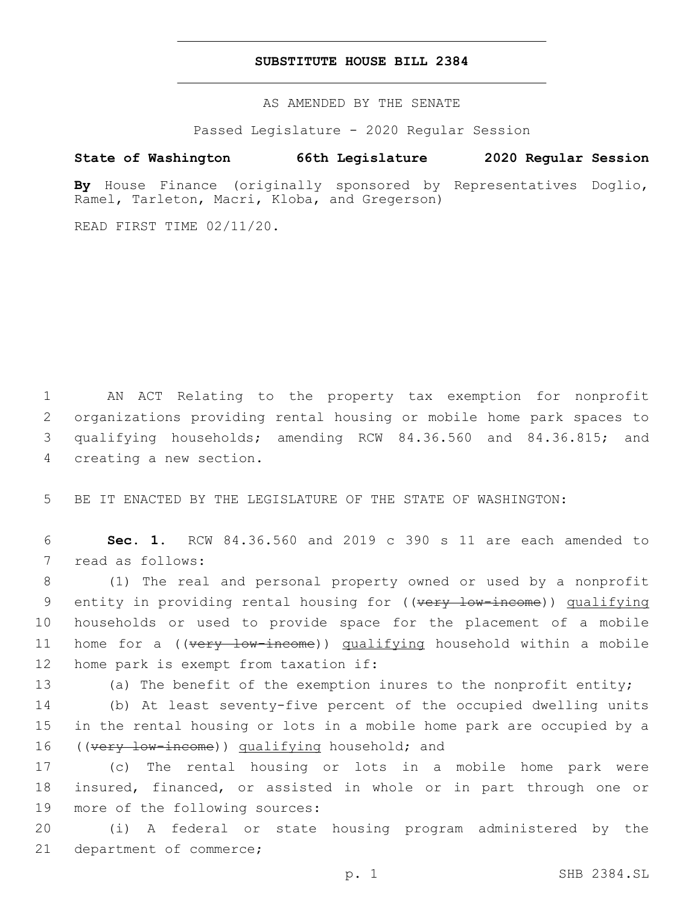## **SUBSTITUTE HOUSE BILL 2384**

AS AMENDED BY THE SENATE

Passed Legislature - 2020 Regular Session

# **State of Washington 66th Legislature 2020 Regular Session**

**By** House Finance (originally sponsored by Representatives Doglio, Ramel, Tarleton, Macri, Kloba, and Gregerson)

READ FIRST TIME 02/11/20.

 AN ACT Relating to the property tax exemption for nonprofit organizations providing rental housing or mobile home park spaces to qualifying households; amending RCW 84.36.560 and 84.36.815; and 4 creating a new section.

5 BE IT ENACTED BY THE LEGISLATURE OF THE STATE OF WASHINGTON:

6 **Sec. 1.** RCW 84.36.560 and 2019 c 390 s 11 are each amended to 7 read as follows:

8 (1) The real and personal property owned or used by a nonprofit 9 entity in providing rental housing for ((very low-income)) qualifying 10 households or used to provide space for the placement of a mobile 11 home for a ((very low-income)) qualifying household within a mobile 12 home park is exempt from taxation if:

13 (a) The benefit of the exemption inures to the nonprofit entity;

14 (b) At least seventy-five percent of the occupied dwelling units 15 in the rental housing or lots in a mobile home park are occupied by a 16 ((very low-income)) qualifying household; and

17 (c) The rental housing or lots in a mobile home park were 18 insured, financed, or assisted in whole or in part through one or 19 more of the following sources:

20 (i) A federal or state housing program administered by the 21 department of commerce;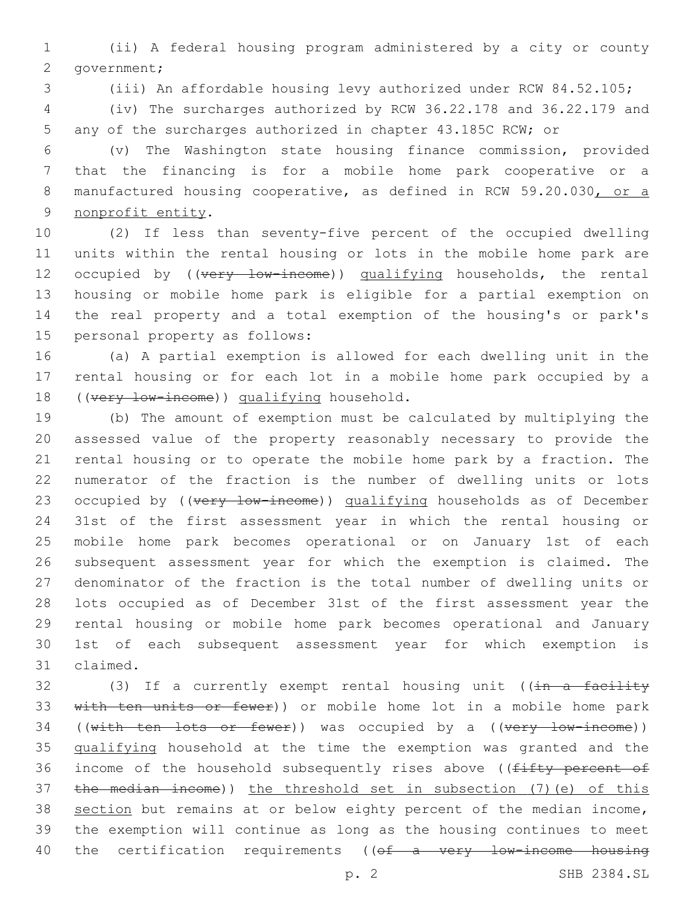(ii) A federal housing program administered by a city or county 2 government;

(iii) An affordable housing levy authorized under RCW 84.52.105;

 (iv) The surcharges authorized by RCW 36.22.178 and 36.22.179 and any of the surcharges authorized in chapter 43.185C RCW; or

 (v) The Washington state housing finance commission, provided that the financing is for a mobile home park cooperative or a 8 manufactured housing cooperative, as defined in RCW 59.20.030, or a 9 nonprofit entity.

 (2) If less than seventy-five percent of the occupied dwelling units within the rental housing or lots in the mobile home park are 12 occupied by ((very low-income)) qualifying households, the rental housing or mobile home park is eligible for a partial exemption on the real property and a total exemption of the housing's or park's 15 personal property as follows:

 (a) A partial exemption is allowed for each dwelling unit in the rental housing or for each lot in a mobile home park occupied by a 18 ((very low-income)) qualifying household.

 (b) The amount of exemption must be calculated by multiplying the assessed value of the property reasonably necessary to provide the rental housing or to operate the mobile home park by a fraction. The numerator of the fraction is the number of dwelling units or lots 23 occupied by ((very low-income)) qualifying households as of December 31st of the first assessment year in which the rental housing or mobile home park becomes operational or on January 1st of each subsequent assessment year for which the exemption is claimed. The denominator of the fraction is the total number of dwelling units or lots occupied as of December 31st of the first assessment year the rental housing or mobile home park becomes operational and January 1st of each subsequent assessment year for which exemption is 31 claimed.

32 (3) If a currently exempt rental housing unit ((in a facility 33 with ten units or fewer)) or mobile home lot in a mobile home park 34 ((with ten lots or fewer)) was occupied by a ((very low-income)) qualifying household at the time the exemption was granted and the 36 income of the household subsequently rises above ((fifty percent of the median income)) the threshold set in subsection (7)(e) of this 38 section but remains at or below eighty percent of the median income, the exemption will continue as long as the housing continues to meet 40 the certification requirements ((of a very low-income housing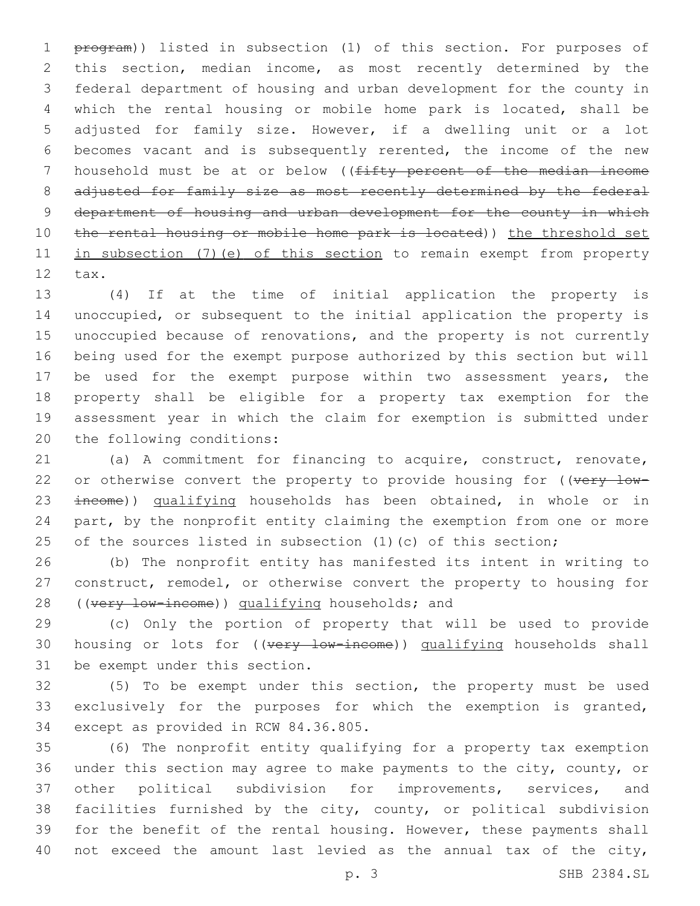1 program)) listed in subsection (1) of this section. For purposes of this section, median income, as most recently determined by the federal department of housing and urban development for the county in which the rental housing or mobile home park is located, shall be adjusted for family size. However, if a dwelling unit or a lot becomes vacant and is subsequently rerented, the income of the new 7 household must be at or below ((fifty percent of the median income 8 adjusted for family size as most recently determined by the federal 9 department of housing and urban development for the county in which 10 the rental housing or mobile home park is located)) the threshold set 11 in subsection (7) (e) of this section to remain exempt from property 12 tax.

 (4) If at the time of initial application the property is unoccupied, or subsequent to the initial application the property is unoccupied because of renovations, and the property is not currently being used for the exempt purpose authorized by this section but will be used for the exempt purpose within two assessment years, the property shall be eligible for a property tax exemption for the assessment year in which the claim for exemption is submitted under 20 the following conditions:

 (a) A commitment for financing to acquire, construct, renovate, 22 or otherwise convert the property to provide housing for  $($   $(*w*<sub>FY</sub> - *low* - *w*)$ 23 income)) qualifying households has been obtained, in whole or in part, by the nonprofit entity claiming the exemption from one or more 25 of the sources listed in subsection (1)(c) of this section;

 (b) The nonprofit entity has manifested its intent in writing to construct, remodel, or otherwise convert the property to housing for 28 ((very low-income)) qualifying households; and

 (c) Only the portion of property that will be used to provide 30 housing or lots for ((very low-income)) qualifying households shall 31 be exempt under this section.

 (5) To be exempt under this section, the property must be used exclusively for the purposes for which the exemption is granted, 34 except as provided in RCW 84.36.805.

 (6) The nonprofit entity qualifying for a property tax exemption under this section may agree to make payments to the city, county, or other political subdivision for improvements, services, and facilities furnished by the city, county, or political subdivision for the benefit of the rental housing. However, these payments shall not exceed the amount last levied as the annual tax of the city,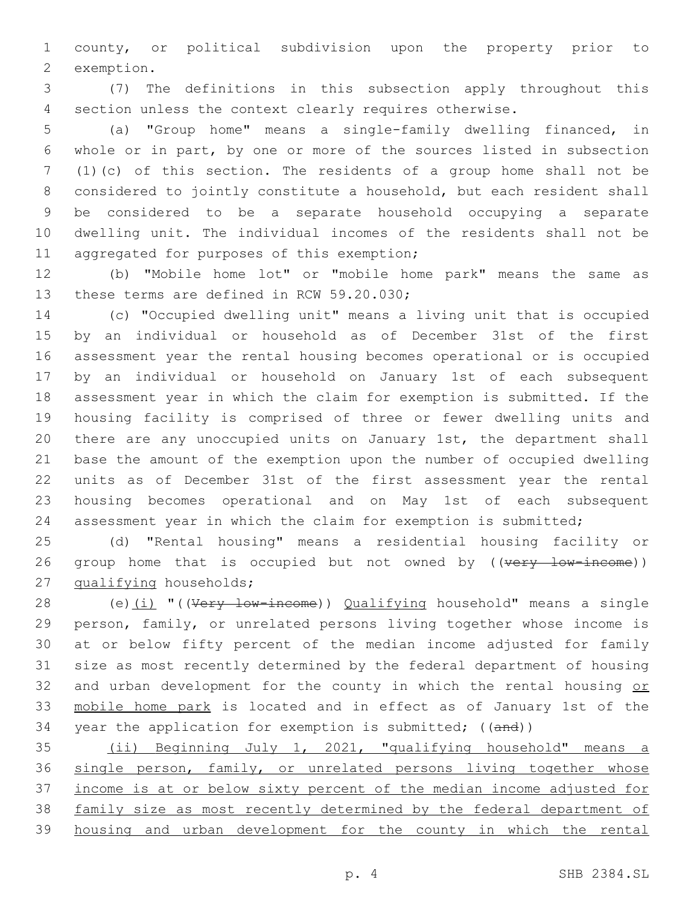county, or political subdivision upon the property prior to 2 exemption.

 (7) The definitions in this subsection apply throughout this section unless the context clearly requires otherwise.

 (a) "Group home" means a single-family dwelling financed, in whole or in part, by one or more of the sources listed in subsection (1)(c) of this section. The residents of a group home shall not be considered to jointly constitute a household, but each resident shall be considered to be a separate household occupying a separate dwelling unit. The individual incomes of the residents shall not be 11 aggregated for purposes of this exemption;

 (b) "Mobile home lot" or "mobile home park" means the same as 13 these terms are defined in RCW 59.20.030;

 (c) "Occupied dwelling unit" means a living unit that is occupied by an individual or household as of December 31st of the first assessment year the rental housing becomes operational or is occupied by an individual or household on January 1st of each subsequent assessment year in which the claim for exemption is submitted. If the housing facility is comprised of three or fewer dwelling units and there are any unoccupied units on January 1st, the department shall base the amount of the exemption upon the number of occupied dwelling units as of December 31st of the first assessment year the rental housing becomes operational and on May 1st of each subsequent assessment year in which the claim for exemption is submitted;

 (d) "Rental housing" means a residential housing facility or 26 group home that is occupied but not owned by ((very low-income)) 27 qualifying households;

28 (e)(i) "((Very low-income)) Qualifying household" means a single person, family, or unrelated persons living together whose income is at or below fifty percent of the median income adjusted for family size as most recently determined by the federal department of housing 32 and urban development for the county in which the rental housing or mobile home park is located and in effect as of January 1st of the 34 year the application for exemption is submitted; ((and))

 (ii) Beginning July 1, 2021, "qualifying household" means a 36 single person, family, or unrelated persons living together whose income is at or below sixty percent of the median income adjusted for family size as most recently determined by the federal department of housing and urban development for the county in which the rental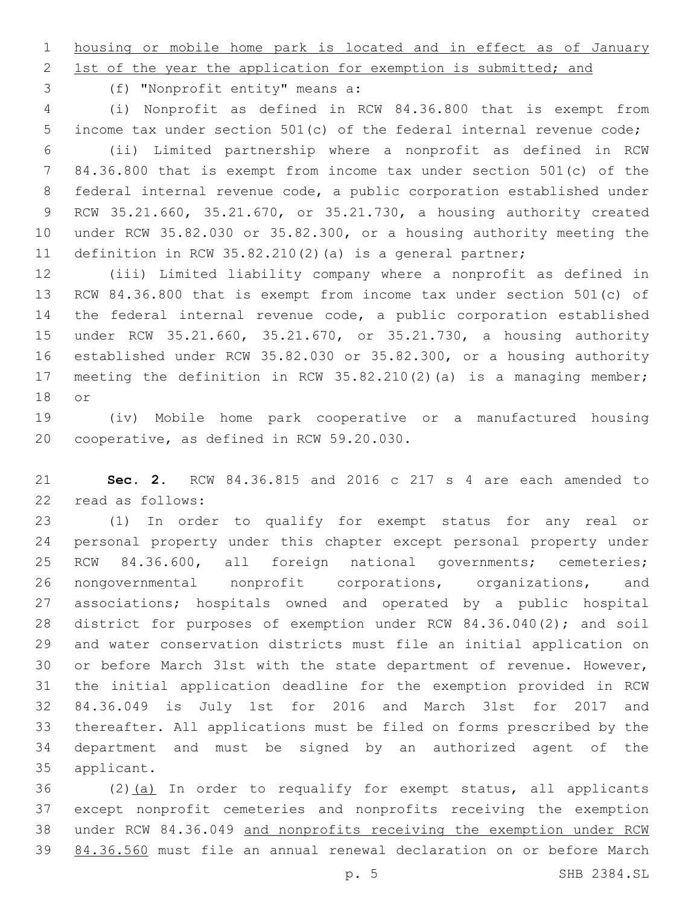housing or mobile home park is located and in effect as of January

2 1st of the year the application for exemption is submitted; and

(f) "Nonprofit entity" means a:3

 (i) Nonprofit as defined in RCW 84.36.800 that is exempt from income tax under section 501(c) of the federal internal revenue code; (ii) Limited partnership where a nonprofit as defined in RCW 84.36.800 that is exempt from income tax under section 501(c) of the federal internal revenue code, a public corporation established under RCW 35.21.660, 35.21.670, or 35.21.730, a housing authority created under RCW 35.82.030 or 35.82.300, or a housing authority meeting the definition in RCW 35.82.210(2)(a) is a general partner;

 (iii) Limited liability company where a nonprofit as defined in RCW 84.36.800 that is exempt from income tax under section 501(c) of the federal internal revenue code, a public corporation established under RCW 35.21.660, 35.21.670, or 35.21.730, a housing authority established under RCW 35.82.030 or 35.82.300, or a housing authority meeting the definition in RCW 35.82.210(2)(a) is a managing member; 18 or

 (iv) Mobile home park cooperative or a manufactured housing 20 cooperative, as defined in RCW 59.20.030.

 **Sec. 2.** RCW 84.36.815 and 2016 c 217 s 4 are each amended to 22 read as follows:

 (1) In order to qualify for exempt status for any real or personal property under this chapter except personal property under RCW 84.36.600, all foreign national governments; cemeteries; nongovernmental nonprofit corporations, organizations, and associations; hospitals owned and operated by a public hospital district for purposes of exemption under RCW 84.36.040(2); and soil and water conservation districts must file an initial application on or before March 31st with the state department of revenue. However, the initial application deadline for the exemption provided in RCW 84.36.049 is July 1st for 2016 and March 31st for 2017 and thereafter. All applications must be filed on forms prescribed by the department and must be signed by an authorized agent of the 35 applicant.

 (2)(a) In order to requalify for exempt status, all applicants except nonprofit cemeteries and nonprofits receiving the exemption under RCW 84.36.049 and nonprofits receiving the exemption under RCW 84.36.560 must file an annual renewal declaration on or before March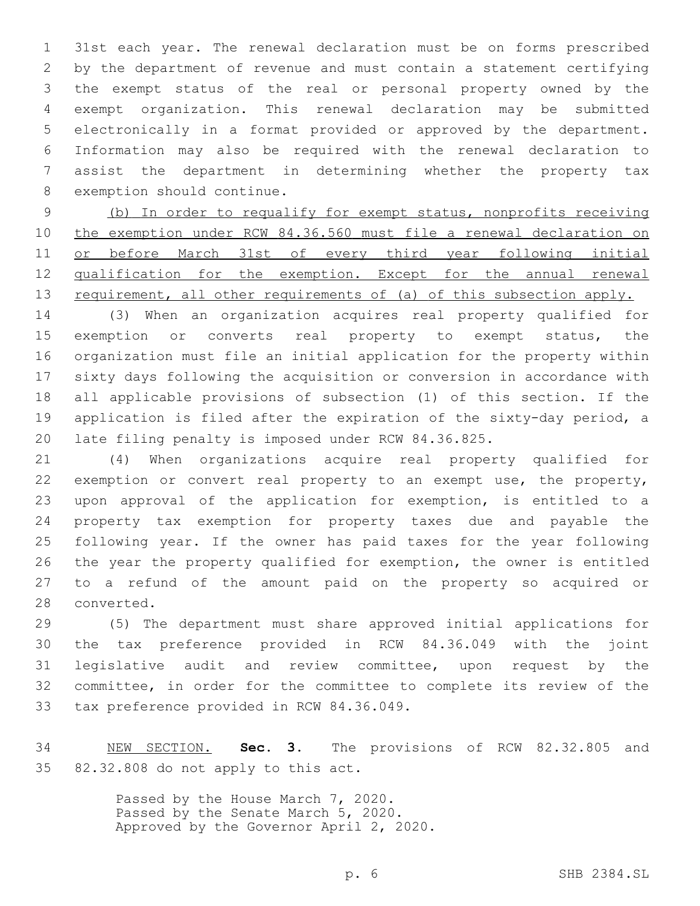31st each year. The renewal declaration must be on forms prescribed by the department of revenue and must contain a statement certifying the exempt status of the real or personal property owned by the exempt organization. This renewal declaration may be submitted electronically in a format provided or approved by the department. Information may also be required with the renewal declaration to assist the department in determining whether the property tax 8 exemption should continue.

 (b) In order to requalify for exempt status, nonprofits receiving the exemption under RCW 84.36.560 must file a renewal declaration on or before March 31st of every third year following initial qualification for the exemption. Except for the annual renewal 13 requirement, all other requirements of (a) of this subsection apply.

 (3) When an organization acquires real property qualified for exemption or converts real property to exempt status, the organization must file an initial application for the property within sixty days following the acquisition or conversion in accordance with all applicable provisions of subsection (1) of this section. If the application is filed after the expiration of the sixty-day period, a late filing penalty is imposed under RCW 84.36.825.

 (4) When organizations acquire real property qualified for exemption or convert real property to an exempt use, the property, upon approval of the application for exemption, is entitled to a property tax exemption for property taxes due and payable the following year. If the owner has paid taxes for the year following the year the property qualified for exemption, the owner is entitled to a refund of the amount paid on the property so acquired or 28 converted.

 (5) The department must share approved initial applications for the tax preference provided in RCW 84.36.049 with the joint legislative audit and review committee, upon request by the committee, in order for the committee to complete its review of the 33 tax preference provided in RCW 84.36.049.

 NEW SECTION. **Sec. 3.** The provisions of RCW 82.32.805 and 82.32.808 do not apply to this act.

> Passed by the House March 7, 2020. Passed by the Senate March 5, 2020. Approved by the Governor April 2, 2020.